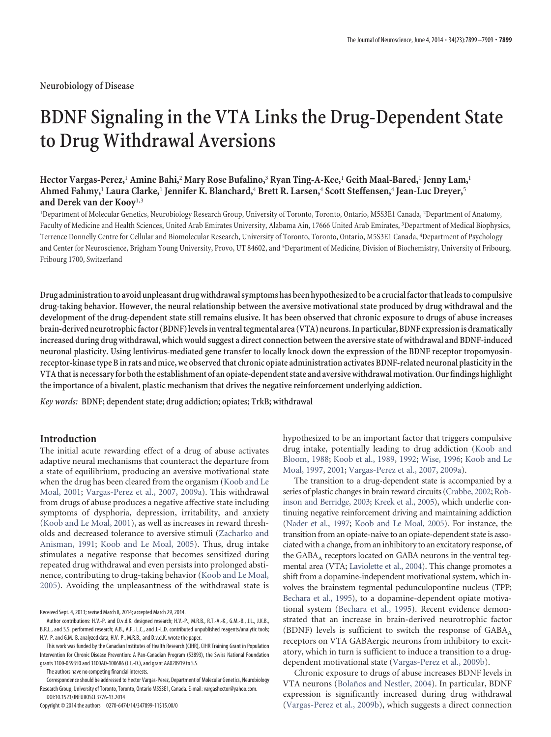**Neurobiology of Disease**

# **BDNF Signaling in the VTA Links the Drug-Dependent State to Drug Withdrawal Aversions**

# **Hector Vargas-Perez,**<sup>1</sup> **Amine Bahi,**<sup>2</sup> **Mary Rose Bufalino,**<sup>3</sup> **Ryan Ting-A-Kee,**<sup>1</sup> **Geith Maal-Bared,**<sup>1</sup> **Jenny Lam,**<sup>1</sup> **Ahmed Fahmy,**<sup>1</sup> **Laura Clarke,**<sup>1</sup> **Jennifer K. Blanchard,**<sup>4</sup> **Brett R. Larsen,**<sup>4</sup> **Scott Steffensen,**<sup>4</sup> **Jean-Luc Dreyer,**<sup>5</sup> **and Derek van der Kooy**1,3

<sup>1</sup>Department of Molecular Genetics, Neurobiology Research Group, University of Toronto, Toronto, Ontario, M5S3E1 Canada, <sup>2</sup>Department of Anatomy, Faculty of Medicine and Health Sciences, United Arab Emirates University, Alabama Ain, 17666 United Arab Emirates, <sup>3</sup>Department of Medical Biophysics, Terrence Donnelly Centre for Cellular and Biomolecular Research, University of Toronto, Toronto, Ontario, M5S3E1 Canada, <sup>4</sup>Department of Psychology and Center for Neuroscience, Brigham Young University, Provo, UT 84602, and <sup>5</sup>Department of Medicine, Division of Biochemistry, University of Fribourg, Fribourg 1700, Switzerland

**Drug administration to avoid unpleasant drug withdrawal symptoms has been hypothesized to be a crucial factor that leads to compulsive drug-taking behavior. However, the neural relationship between the aversive motivational state produced by drug withdrawal and the development of the drug-dependent state still remains elusive. It has been observed that chronic exposure to drugs of abuse increases brain-derived neurotrophic factor (BDNF) levels in ventral tegmental area (VTA) neurons. In particular, BDNF expression is dramatically increased during drug withdrawal, which would suggest a direct connection between the aversive state of withdrawal and BDNF-induced neuronal plasticity. Using lentivirus-mediated gene transfer to locally knock down the expression of the BDNF receptor tropomyosinreceptor-kinase type B in rats and mice, we observed that chronic opiate administration activates BDNF-related neuronal plasticity in the VTA that is necessary for both the establishment of an opiate-dependent state and aversive withdrawal motivation. Our findings highlight the importance of a bivalent, plastic mechanism that drives the negative reinforcement underlying addiction.**

*Key words:* **BDNF; dependent state; drug addiction; opiates; TrkB; withdrawal**

# **Introduction**

The initial acute rewarding effect of a drug of abuse activates adaptive neural mechanisms that counteract the departure from a state of equilibrium, producing an aversive motivational state when the drug has been cleared from the organism (Koob and Le Moal, 2001; Vargas-Perez et al., 2007, 2009a). This withdrawal from drugs of abuse produces a negative affective state including symptoms of dysphoria, depression, irritability, and anxiety (Koob and Le Moal, 2001), as well as increases in reward thresholds and decreased tolerance to aversive stimuli (Zacharko and Anisman, 1991; Koob and Le Moal, 2005). Thus, drug intake stimulates a negative response that becomes sensitized during repeated drug withdrawal and even persists into prolonged abstinence, contributing to drug-taking behavior (Koob and Le Moal, 2005). Avoiding the unpleasantness of the withdrawal state is

Received Sept. 4, 2013; revised March 8, 2014; accepted March 29, 2014.

The authors have no competing financial interests.

Correspondence should be addressed to Hector Vargas-Perez, Department of Molecular Genetics, Neurobiology Research Group, University of Toronto, Toronto, Ontario M5S3E1, Canada. E-mail: vargashector@yahoo.com. DOI:10.1523/JNEUROSCI.3776-13.2014

Copyright © 2014 the authors 0270-6474/14/347899-11\$15.00/0

hypothesized to be an important factor that triggers compulsive drug intake, potentially leading to drug addiction (Koob and Bloom, 1988; Koob et al., 1989, 1992; Wise, 1996; Koob and Le Moal, 1997, 2001; Vargas-Perez et al., 2007, 2009a).

The transition to a drug-dependent state is accompanied by a series of plastic changes in brain reward circuits (Crabbe, 2002; Robinson and Berridge, 2003; Kreek et al., 2005), which underlie continuing negative reinforcement driving and maintaining addiction (Nader et al., 1997; Koob and Le Moal, 2005). For instance, the transition from an opiate-naive to an opiate-dependent state is associated with a change, from an inhibitory to an excitatory response, of the  $\rm GABA_A$  receptors located on  $\rm GABA$  neurons in the ventral tegmental area (VTA; Laviolette et al., 2004). This change promotes a shift from a dopamine-independent motivational system, which involves the brainstem tegmental pedunculopontine nucleus (TPP; Bechara et al., 1995), to a dopamine-dependent opiate motivational system (Bechara et al., 1995). Recent evidence demonstrated that an increase in brain-derived neurotrophic factor (BDNF) levels is sufficient to switch the response of  $GABA_A$ receptors on VTA GABAergic neurons from inhibitory to excitatory, which in turn is sufficient to induce a transition to a drugdependent motivational state (Vargas-Perez et al., 2009b).

Chronic exposure to drugs of abuse increases BDNF levels in VTA neurons (Bolaños and Nestler, 2004). In particular, BDNF expression is significantly increased during drug withdrawal (Vargas-Perez et al., 2009b), which suggests a direct connection

Author contributions: H.V.-P. and D.v.d.K. designed research; H.V.-P., M.R.B., R.T.-A.-K., G.M.-B., J.L., J.K.B., B.R.L., and S.S. performed research; A.B., A.F., L.C., and J.-L.D. contributed unpublished reagents/analytic tools; H.V.-P. and G.M.-B. analyzed data; H.V.-P., M.R.B., and D.v.d.K. wrote the paper.

This work was funded by the Canadian Institutes of Health Research (CIHR), CIHR Training Grant in Population Intervention for Chronic Disease Prevention: A Pan-Canadian Program (53893), the Swiss National Foundation grants 3100-059350 and 3100AO-100686 (J.L.-D.), and grant AA020919 to S.S.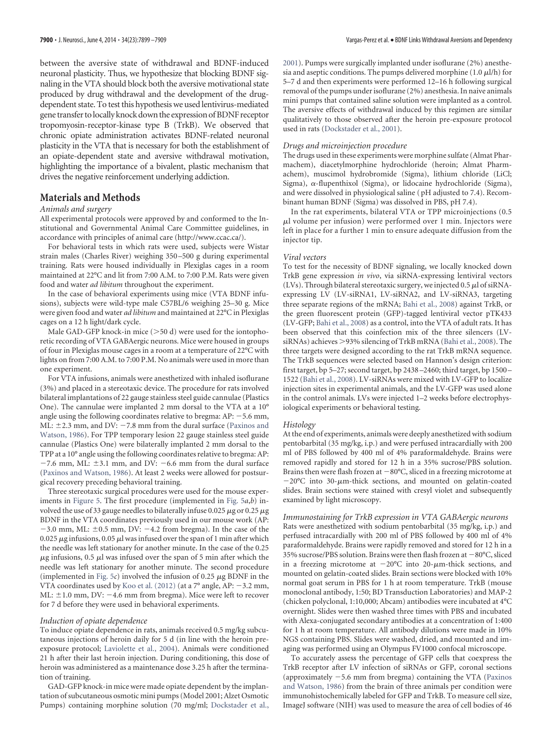between the aversive state of withdrawal and BDNF-induced neuronal plasticity. Thus, we hypothesize that blocking BDNF signaling in the VTA should block both the aversive motivational state produced by drug withdrawal and the development of the drugdependent state. To test this hypothesis we used lentivirus-mediated gene transfer to locally knock down the expression of BDNF receptor tropomyosin-receptor-kinase type B (TrkB). We observed that chronic opiate administration activates BDNF-related neuronal plasticity in the VTA that is necessary for both the establishment of an opiate-dependent state and aversive withdrawal motivation, highlighting the importance of a bivalent, plastic mechanism that drives the negative reinforcement underlying addiction.

# **Materials and Methods**

## *Animals and surgery*

All experimental protocols were approved by and conformed to the Institutional and Governmental Animal Care Committee guidelines, in accordance with principles of animal care (http://www.ccac.ca/).

For behavioral tests in which rats were used, subjects were Wistar strain males (Charles River) weighing 350 –500 g during experimental training. Rats were housed individually in Plexiglas cages in a room maintained at 22°C and lit from 7:00 A.M. to 7:00 P.M. Rats were given food and water *ad libitum* throughout the experiment.

In the case of behavioral experiments using mice (VTA BDNF infusions), subjects were wild-type male C57BL/6 weighing 25–30 g. Mice were given food and water *ad libitum* and maintained at 22°C in Plexiglas cages on a 12 h light/dark cycle.

Male GAD-GFP knock-in mice  $(> 50 d)$  were used for the iontophoretic recording of VTA GABAergic neurons. Mice were housed in groups of four in Plexiglas mouse cages in a room at a temperature of 22°C with lights on from 7:00 A.M. to 7:00 P.M. No animals were used in more than one experiment.

For VTA infusions, animals were anesthetized with inhaled isoflurane (3%) and placed in a stereotaxic device. The procedure for rats involved bilateral implantations of 22 gauge stainless steel guide cannulae (Plastics One). The cannulae were implanted 2 mm dorsal to the VTA at a 10° angle using the following coordinates relative to bregma:  $AP: -5.6$  mm, ML:  $\pm$ 2.3 mm, and DV: -7.8 mm from the dural surface (Paxinos and Watson, 1986). For TPP temporary lesion 22 gauge stainless steel guide cannulae (Plastics One) were bilaterally implanted 2 mm dorsal to the TPP at a 10° angle using the following coordinates relative to bregma: AP:  $-7.6$  mm, ML:  $\pm 3.1$  mm, and DV:  $-6.6$  mm from the dural surface (Paxinos and Watson, 1986). At least 2 weeks were allowed for postsurgical recovery preceding behavioral training.

Three stereotaxic surgical procedures were used for the mouse experiments in Figure 5. The first procedure (implemented in Fig. 5*a*,*b*) involved the use of 33 gauge needles to bilaterally infuse 0.025  $\mu$ g or 0.25  $\mu$ g BDNF in the VTA coordinates previously used in our mouse work (AP:  $-3.0$  mm, ML:  $\pm 0.5$  mm, DV:  $-4.2$  from bregma). In the case of the 0.025  $\mu$ g infusions, 0.05  $\mu$ l was infused over the span of 1 min after which the needle was left stationary for another minute. In the case of the 0.25  $\mu$ g infusions, 0.5  $\mu$ l was infused over the span of 5 min after which the needle was left stationary for another minute. The second procedure (implemented in Fig.  $5c$ ) involved the infusion of 0.25  $\mu$ g BDNF in the VTA coordinates used by Koo et al.  $(2012)$  (at a 7° angle, AP:  $-3.2$  mm, ML:  $\pm$ 1.0 mm, DV: -4.6 mm from bregma). Mice were left to recover for 7 d before they were used in behavioral experiments.

#### *Induction of opiate dependence*

To induce opiate dependence in rats, animals received 0.5 mg/kg subcutaneous injections of heroin daily for 5 d (in line with the heroin preexposure protocol; Laviolette et al., 2004). Animals were conditioned 21 h after their last heroin injection. During conditioning, this dose of heroin was administered as a maintenance dose 3.25 h after the termination of training.

GAD-GFP knock-in mice were made opiate dependent by the implantation of subcutaneous osmotic mini pumps (Model 2001; Alzet Osmotic Pumps) containing morphine solution (70 mg/ml; Dockstader et al., 2001). Pumps were surgically implanted under isoflurane (2%) anesthesia and aseptic conditions. The pumps delivered morphine (1.0  $\mu$ l/h) for 5–7 d and then experiments were performed 12–16 h following surgical removal of the pumps under isoflurane (2%) anesthesia. In naive animals mini pumps that contained saline solution were implanted as a control. The aversive effects of withdrawal induced by this regimen are similar qualitatively to those observed after the heroin pre-exposure protocol used in rats (Dockstader et al., 2001).

## *Drugs and microinjection procedure*

The drugs used in these experiments were morphine sulfate (Almat Pharmachem), diacetylmorphine hydrochloride (heroin; Almat Pharmachem), muscimol hydrobromide (Sigma), lithium chloride (LiCl; Sigma),  $\alpha$ -flupenthixol (Sigma), or lidocaine hydrochloride (Sigma), and were dissolved in physiological saline ( pH adjusted to 7.4). Recombinant human BDNF (Sigma) was dissolved in PBS, pH 7.4).

In the rat experiments, bilateral VTA or TPP microinjections (0.5 -l volume per infusion) were performed over 1 min. Injectors were left in place for a further 1 min to ensure adequate diffusion from the injector tip.

#### *Viral vectors*

To test for the necessity of BDNF signaling, we locally knocked down TrkB gene expression *in vivo*, via siRNA-expressing lentiviral vectors (LVs). Through bilateral stereotaxic surgery, we injected 0.5  $\mu$ l of siRNAexpressing LV (LV-siRNA1, LV-siRNA2, and LV-siRNA3, targeting three separate regions of the mRNA; Bahi et al., 2008) against TrkB, or the green fluorescent protein (GFP)-tagged lentiviral vector pTK433 (LV-GFP; Bahi et al., 2008) as a control, into the VTA of adult rats. It has been observed that this coinfection mix of the three silencers (LVsiRNAs) achieves >93% silencing of TrkB mRNA (Bahi et al., 2008). The three targets were designed according to the rat TrkB mRNA sequence. The TrkB sequences were selected based on Hannon's design criterion: first target, bp 5–27; second target, bp 2438 –2460; third target, bp 1500 – 1522 (Bahi et al., 2008). LV-siRNAs were mixed with LV-GFP to localize injection sites in experimental animals, and the LV-GFP was used alone in the control animals. LVs were injected 1–2 weeks before electrophysiological experiments or behavioral testing.

#### *Histology*

At the end of experiments, animals were deeply anesthetized with sodium pentobarbital (35 mg/kg, i.p.) and were perfused intracardially with 200 ml of PBS followed by 400 ml of 4% paraformaldehyde. Brains were removed rapidly and stored for 12 h in a 35% sucrose/PBS solution. Brains then were flash frozen at  $-80^{\circ}$ C, sliced in a freezing microtome at  $-20^{\circ}$ C into 30- $\mu$ m-thick sections, and mounted on gelatin-coated slides. Brain sections were stained with cresyl violet and subsequently examined by light microscopy.

#### *Immunostaining for TrkB expression in VTA GABAergic neurons*

Rats were anesthetized with sodium pentobarbital (35 mg/kg, i.p.) and perfused intracardially with 200 ml of PBS followed by 400 ml of 4% paraformaldehyde. Brains were rapidly removed and stored for 12 h in a 35% sucrose/PBS solution. Brains were then flash frozen at  $-80^{\circ}$ C, sliced in a freezing microtome at  $-20^{\circ}$ C into  $20$ - $\mu$ m-thick sections, and mounted on gelatin-coated slides. Brain sections were blocked with 10% normal goat serum in PBS for 1 h at room temperature. TrkB (mouse monoclonal antibody, 1:50; BD Transduction Laboratories) and MAP-2 (chicken polyclonal, 1:10,000; Abcam) antibodies were incubated at 4°C overnight. Slides were then washed three times with PBS and incubated with Alexa-conjugated secondary antibodies at a concentration of 1:400 for 1 h at room temperature. All antibody dilutions were made in 10% NGS containing PBS. Slides were washed, dried, and mounted and imaging was performed using an Olympus FV1000 confocal microscope.

To accurately assess the percentage of GFP cells that coexpress the TrkB receptor after LV infection of siRNAs or GFP, coronal sections (approximately  $-5.6$  mm from bregma) containing the VTA (Paxinos and Watson, 1986) from the brain of three animals per condition were immunohistochemically labeled for GFP and TrkB. To measure cell size, ImageJ software (NIH) was used to measure the area of cell bodies of 46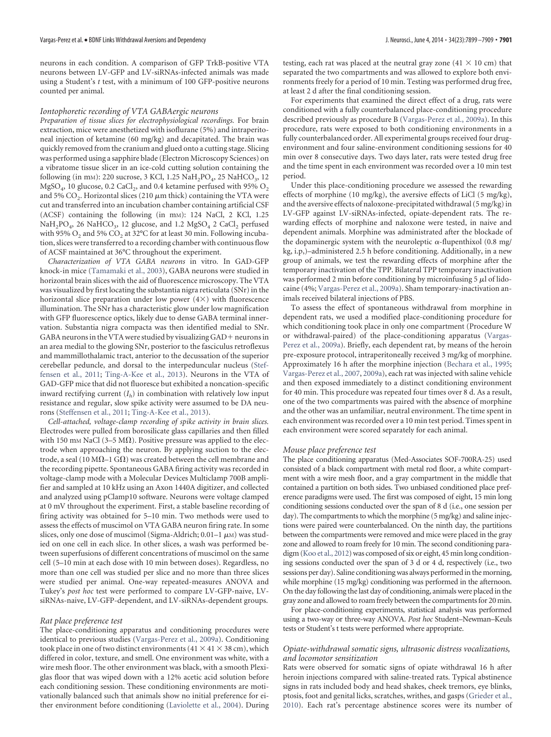neurons in each condition. A comparison of GFP TrkB-positive VTA neurons between LV-GFP and LV-siRNAs-infected animals was made using a Student's *t* test, with a minimum of 100 GFP-positive neurons counted per animal.

#### *Iontophoretic recording of VTA GABAergic neurons*

*Preparation of tissue slices for electrophysiological recordings.* For brain extraction, mice were anesthetized with isoflurane (5%) and intraperitoneal injection of ketamine (60 mg/kg) and decapitated. The brain was quickly removed from the cranium and glued onto a cutting stage. Slicing was performed using a sapphire blade (Electron Microscopy Sciences) on a vibratome tissue slicer in an ice-cold cutting solution containing the following (in mm): 220 sucrose, 3 KCl, 1.25  $\text{NaH}_2\text{PO}_4$ , 25  $\text{NaHCO}_3$ , 12 MgSO<sub>4</sub>, 10 glucose, 0.2 CaCl<sub>2</sub>, and 0.4 ketamine perfused with 95% O<sub>2</sub> and 5%  $\text{CO}_2$ . Horizontal slices (210  $\mu$ m thick) containing the VTA were cut and transferred into an incubation chamber containing artificial CSF (ACSF) containing the following (in mm): 124 NaCl, 2 KCl, 1.25  $\text{NaH}_2\text{PO}_4$ , 26  $\text{NaHCO}_3$ , 12 glucose, and 1.2  $\text{MgSO}_4$  2  $\text{CaCl}_2$  perfused with 95%  $O_2$  and 5%  $CO_2$  at 32°C for at least 30 min. Following incubation, slices were transferred to a recording chamber with continuous flow of ACSF maintained at 36°C throughout the experiment.

*Characterization of VTA GABA neurons* in vitro*.* In GAD-GFP knock-in mice (Tamamaki et al., 2003), GABA neurons were studied in horizontal brain slices with the aid of fluorescence microscopy. The VTA was visualized by first locating the substantia nigra reticulata (SNr) in the horizontal slice preparation under low power  $(4\times)$  with fluorescence illumination. The SNr has a characteristic glow under low magnification with GFP fluorescence optics, likely due to dense GABA terminal innervation. Substantia nigra compacta was then identified medial to SNr. GABA neurons in the VTA were studied by visualizing  $GAD +$  neurons in an area medial to the glowing SNr, posterior to the fasciculus retroflexus and mammillothalamic tract, anterior to the decussation of the superior cerebellar peduncle, and dorsal to the interpeduncular nucleus (Steffensen et al., 2011; Ting-A-Kee et al., 2013). Neurons in the VTA of GAD-GFP mice that did not fluoresce but exhibited a noncation-specific inward rectifying current (*I<sup>h</sup>* ) in combination with relatively low input resistance and regular, slow spike activity were assumed to be DA neurons (Steffensen et al., 2011; Ting-A-Kee et al., 2013).

*Cell-attached, voltage-clamp recording of spike activity in brain slices.* Electrodes were pulled from borosilicate glass capillaries and then filled with 150 mm NaCl (3-5 M $\Omega$ ). Positive pressure was applied to the electrode when approaching the neuron. By applying suction to the electrode, a seal (10 M $\Omega$ –1 G $\Omega$ ) was created between the cell membrane and the recording pipette. Spontaneous GABA firing activity was recorded in voltage-clamp mode with a Molecular Devices Multiclamp 700B amplifier and sampled at 10 kHz using an Axon 1440A digitizer, and collected and analyzed using pClamp10 software. Neurons were voltage clamped at 0 mV throughout the experiment. First, a stable baseline recording of firing activity was obtained for 5–10 min. Two methods were used to assess the effects of muscimol on VTA GABA neuron firing rate. In some slices, only one dose of muscimol (Sigma-Aldrich; 0.01–1  $\mu$ м) was studied on one cell in each slice. In other slices, a wash was performed between superfusions of different concentrations of muscimol on the same cell (5–10 min at each dose with 10 min between doses). Regardless, no more than one cell was studied per slice and no more than three slices were studied per animal. One-way repeated-measures ANOVA and Tukey's *post hoc* test were performed to compare LV-GFP-naive, LVsiRNAs-naive, LV-GFP-dependent, and LV-siRNAs-dependent groups.

#### *Rat place preference test*

The place-conditioning apparatus and conditioning procedures were identical to previous studies (Vargas-Perez et al., 2009a). Conditioning took place in one of two distinct environments (41  $\times$  41  $\times$  38 cm), which differed in color, texture, and smell. One environment was white, with a wire mesh floor. The other environment was black, with a smooth Plexiglas floor that was wiped down with a 12% acetic acid solution before each conditioning session. These conditioning environments are motivationally balanced such that animals show no initial preference for either environment before conditioning (Laviolette et al., 2004). During

testing, each rat was placed at the neutral gray zone  $(41 \times 10 \text{ cm})$  that separated the two compartments and was allowed to explore both environments freely for a period of 10 min. Testing was performed drug free, at least 2 d after the final conditioning session.

For experiments that examined the direct effect of a drug, rats were conditioned with a fully counterbalanced place-conditioning procedure described previously as procedure B (Vargas-Perez et al., 2009a). In this procedure, rats were exposed to both conditioning environments in a fully counterbalanced order. All experimental groups received four drugenvironment and four saline-environment conditioning sessions for 40 min over 8 consecutive days. Two days later, rats were tested drug free and the time spent in each environment was recorded over a 10 min test period.

Under this place-conditioning procedure we assessed the rewarding effects of morphine (10 mg/kg), the aversive effects of LiCl (5 mg/kg), and the aversive effects of naloxone-precipitated withdrawal (5 mg/kg) in LV-GFP against LV-siRNAs-infected, opiate-dependent rats. The rewarding effects of morphine and naloxone were tested, in naive and dependent animals. Morphine was administrated after the blockade of the dopaminergic system with the neuroleptic  $\alpha$ -flupenthixol (0.8 mg/ kg, i.p,)–administered 2.5 h before conditioning. Additionally, in a new group of animals, we test the rewarding effects of morphine after the temporary inactivation of the TPP. Bilateral TPP temporary inactivation was performed 2 min before conditioning by microinfusing  $5 \mu$ l of lidocaine (4%; Vargas-Perez et al., 2009a). Sham temporary-inactivation animals received bilateral injections of PBS.

To assess the effect of spontaneous withdrawal from morphine in dependent rats, we used a modified place-conditioning procedure for which conditioning took place in only one compartment (Procedure W or withdrawal-paired) of the place-conditioning apparatus (Vargas-Perez et al., 2009a). Briefly, each dependent rat, by means of the heroin pre-exposure protocol, intraperitoneally received 3 mg/kg of morphine. Approximately 16 h after the morphine injection (Bechara et al., 1995; Vargas-Perez et al., 2007, 2009a), each rat was injected with saline vehicle and then exposed immediately to a distinct conditioning environment for 40 min. This procedure was repeated four times over 8 d. As a result, one of the two compartments was paired with the absence of morphine and the other was an unfamiliar, neutral environment. The time spent in each environment was recorded over a 10 min test period. Times spent in each environment were scored separately for each animal.

#### *Mouse place preference test*

The place conditioning apparatus (Med-Associates SOF-700RA-25) used consisted of a black compartment with metal rod floor, a white compartment with a wire mesh floor, and a gray compartment in the middle that contained a partition on both sides. Two unbiased conditioned place preference paradigms were used. The first was composed of eight, 15 min long conditioning sessions conducted over the span of 8 d (i.e., one session per day). The compartments to which the morphine (5 mg/kg) and saline injections were paired were counterbalanced. On the ninth day, the partitions between the compartments were removed and mice were placed in the gray zone and allowed to roam freely for 10 min. The second conditioning paradigm (Koo et al., 2012) was composed of six or eight, 45 min long conditioning sessions conducted over the span of 3 d or 4 d, respectively (i.e., two sessions per day). Saline conditioning was always performed in the morning, while morphine (15 mg/kg) conditioning was performed in the afternoon. On the day following the last day of conditioning, animals were placed in the gray zone and allowed to roam freely between the compartments for 20 min.

For place-conditioning experiments, statistical analysis was performed using a two-way or three-way ANOVA. *Post hoc* Student–Newman–Keuls tests or Student's t tests were performed where appropriate.

## *Opiate-withdrawal somatic signs, ultrasonic distress vocalizations, and locomotor sensitization*

Rats were observed for somatic signs of opiate withdrawal 16 h after heroin injections compared with saline-treated rats. Typical abstinence signs in rats included body and head shakes, cheek tremors, eye blinks, ptosis, foot and genital licks, scratches, writhes, and gasps (Grieder et al., 2010). Each rat's percentage abstinence scores were its number of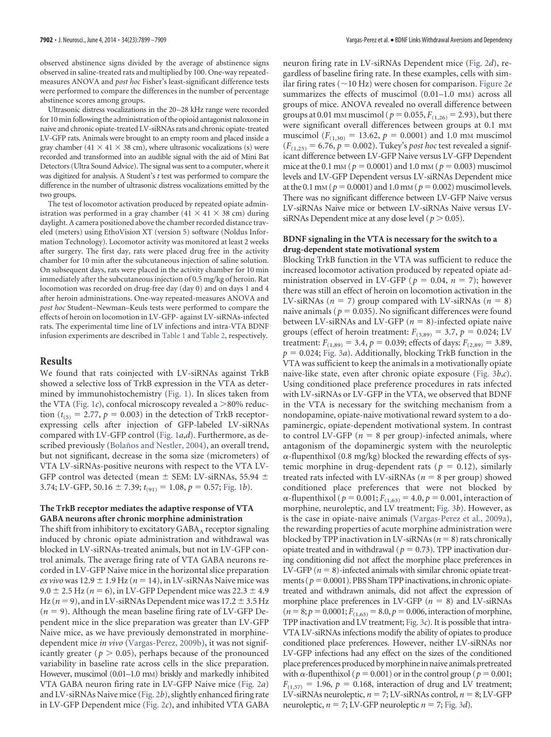observed abstinence signs divided by the average of abstinence signs observed in saline-treated rats and multiplied by 100. One-way repeatedmeasures ANOVA and *post hoc* Fisher's least-significant difference tests were performed to compare the differences in the number of percentage abstinence scores among groups.

Ultrasonic distress vocalizations in the 20–28 kHz range were recorded for 10 min following the administration of the opioid antagonist naloxone in naive and chronic opiate-treated LV-siRNAs rats and chronic opiate-treated LV-GFP rats. Animals were brought to an empty room and placed inside a gray chamber (41  $\times$  41  $\times$  38 cm), where ultrasonic vocalizations (s) were recorded and transformed into an audible signal with the aid of Mini Bat Detectors (Ultra Sound Advice). The signal was sent to a computer, where it was digitized for analysis. A Student's *t* test was performed to compare the difference in the number of ultrasonic distress vocalizations emitted by the two groups.

The test of locomotor activation produced by repeated opiate administration was performed in a gray chamber (41  $\times$  41  $\times$  38 cm) during daylight. A camera positioned above the chamber recorded distance traveled (meters) using EthoVision XT (version 5) software (Noldus Information Technology). Locomotor activity was monitored at least 2 weeks after surgery. The first day, rats were placed drug free in the activity chamber for 10 min after the subcutaneous injection of saline solution. On subsequent days, rats were placed in the activity chamber for 10 min immediately after the subcutaneous injection of 0.5 mg/kg of heroin. Rat locomotion was recorded on drug-free day (day 0) and on days 1 and 4 after heroin administrations. One-way repeated-measures ANOVA and *post hoc* Student–Newman–Keuls tests were performed to compare the effects of heroin on locomotion in LV-GFP- against LV-siRNAs-infected rats. The experimental time line of LV infections and intra-VTA BDNF infusion experiments are described in Table 1 and Table 2, respectively.

## **Results**

We found that rats coinjected with LV-siRNAs against TrkB showed a selective loss of TrkB expression in the VTA as determined by immunohistochemistry (Fig. 1). In slices taken from the VTA (Fig. 1*c*), confocal microscopy revealed a >80% reduction ( $t_{(5)} = 2.77$ ,  $p = 0.003$ ) in the detection of TrkB receptorexpressing cells after injection of GFP-labeled LV-siRNAs compared with LV-GFP control (Fig. 1*a*,*d*). Furthermore, as described previously (Bolaños and Nestler, 2004), an overall trend, but not significant, decrease in the soma size (micrometers) of VTA LV-siRNAs-positive neurons with respect to the VTA LV-GFP control was detected (mean  $\pm$  SEM: LV-siRNAs, 55.94  $\pm$ 3.74; LV-GFP, 50.16  $\pm$  7.39;  $t_{(91)} = 1.08$ ,  $p = 0.57$ ; Fig. 1*b*).

# **The TrkB receptor mediates the adaptive response of VTA GABA neurons after chronic morphine administration**

The shift from inhibitory to excitatory  $\mathsf{GABA}_\mathsf{A}$  receptor signaling induced by chronic opiate administration and withdrawal was blocked in LV-siRNAs-treated animals, but not in LV-GFP control animals. The average firing rate of VTA GABA neurons recorded in LV-GFP Naive mice in the horizontal slice preparation *ex vivo* was  $12.9 \pm 1.9$  Hz ( $n = 14$ ), in LV-siRNAs Naive mice was  $9.0 \pm 2.5$  Hz ( $n = 6$ ), in LV-GFP Dependent mice was  $22.3 \pm 4.9$ Hz ( $n = 9$ ), and in LV-siRNAs Dependent mice was 17.2  $\pm$  3.5 Hz  $(n = 9)$ . Although the mean baseline firing rate of LV-GFP Dependent mice in the slice preparation was greater than LV-GFP Naive mice, as we have previously demonstrated in morphinedependent mice *in vivo* (Vargas-Perez, 2009b), it was not significantly greater ( $p > 0.05$ ), perhaps because of the pronounced variability in baseline rate across cells in the slice preparation. However, muscimol (0.01–1.0 mm) briskly and markedly inhibited VTA GABA neuron firing rate in LV-GFP Naive mice (Fig. 2*a*) and LV-siRNAs Naive mice (Fig. 2*b*), slightly enhanced firing rate in LV-GFP Dependent mice (Fig. 2*c*), and inhibited VTA GABA

neuron firing rate in LV-siRNAs Dependent mice (Fig. 2*d*), regardless of baseline firing rate. In these examples, cells with similar firing rates ( $\sim$ 10 Hz) were chosen for comparison. Figure 2*e* summarizes the effects of muscimol (0.01-1.0 mm) across all groups of mice. ANOVA revealed no overall difference between groups at 0.01 mm muscimol ( $p = 0.055$ ,  $F_{(1,26)} = 2.93$ ), but there were significant overall differences between groups at 0.1 mm muscimol ( $F_{(1,30)} = 13.62$ ,  $p = 0.0001$ ) and 1.0 mm muscimol  $(F_{(1,25)} = 6.76, p = 0.002)$ . Tukey's *post hoc* test revealed a significant difference between LV-GFP Naive versus LV-GFP Dependent mice at the 0.1 mm ( $p = 0.0001$ ) and 1.0 mm ( $p = 0.003$ ) muscimol levels and LV-GFP Dependent versus LV-siRNAs Dependent mice at the 0.1 mm ( $p = 0.0001$ ) and 1.0 mm ( $p = 0.002$ ) muscimol levels. There was no significant difference between LV-GFP Naive versus LV-siRNAs Naive mice or between LV-siRNAs Naive versus LVsiRNAs Dependent mice at any dose level ( $p > 0.05$ ).

## **BDNF signaling in the VTA is necessary for the switch to a drug-dependent state motivational system**

Blocking TrkB function in the VTA was sufficient to reduce the increased locomotor activation produced by repeated opiate administration observed in LV-GFP ( $p = 0.04$ ,  $n = 7$ ); however there was still an effect of heroin on locomotion activation in the LV-siRNAs ( $n = 7$ ) group compared with LV-siRNAs ( $n = 8$ ) naive animals ( $p = 0.035$ ). No significant differences were found between LV-siRNAs and LV-GFP  $(n = 8)$ -infected opiate naive groups (effect of heroin treatment:  $F_{(3,89)} = 3.7$ ,  $p = 0.024$ ; LV treatment:  $F_{(1,89)} = 3.4$ ,  $p = 0.039$ ; effects of days:  $F_{(2,89)} = 3.89$ ,  $p = 0.024$ ; Fig. 3*a*). Additionally, blocking TrkB function in the VTA was sufficient to keep the animals in a motivationally opiate naive-like state, even after chronic opiate exposure (Fig. 3*b*,*c*). Using conditioned place preference procedures in rats infected with LV-siRNAs or LV-GFP in the VTA, we observed that BDNF in the VTA is necessary for the switching mechanism from a nondopamine, opiate-naive motivational reward system to a dopaminergic, opiate-dependent motivational system. In contrast to control LV-GFP ( $n = 8$  per group)-infected animals, where antagonism of the dopaminergic system with the neuroleptic  $\alpha$ -flupenthixol (0.8 mg/kg) blocked the rewarding effects of systemic morphine in drug-dependent rats ( $p = 0.12$ ), similarly treated rats infected with LV-siRNAs ( $n = 8$  per group) showed conditioned place preferences that were not blocked by  $\alpha$ -flupenthixol ( $p = 0.001; F_{(1,63)} = 4.0, p = 0.001$ , interaction of morphine, neuroleptic, and LV treatment; Fig. 3*b*). However, as is the case in opiate-naive animals (Vargas-Perez et al., 2009a), the rewarding properties of acute morphine administration were blocked by TPP inactivation in LV-siRNAs ( $n = 8$ ) rats chronically opiate treated and in withdrawal ( $p = 0.73$ ). TPP inactivation during conditioning did not affect the morphine place preferences in LV-GFP  $(n = 8)$ -infected animals with similar chronic opiate treatments ( $p = 0.0001$ ). PBS Sham TPP inactivations, in chronic opiatetreated and withdrawn animals, did not affect the expression of morphine place preferences in LV-GFP  $(n = 8)$  and LV-siRNAs  $(n = 8; p = 0.0001; F<sub>(1,63)</sub> = 8.0, p = 0.006$ , interaction of morphine, TPP inactivation and LV treatment; Fig. 3*c*). It is possible that intra-VTA LV-siRNAs infections modify the ability of opiates to produce conditioned place preferences. However, neither LV-siRNAs nor LV-GFP infections had any effect on the sizes of the conditioned place preferences produced by morphine in naive animals pretreated with  $\alpha$ -flupenthixol ( $p = 0.001$ ) or in the control group ( $p = 0.001$ ;  $F_{(1,57)} = 1.96$ ,  $p = 0.168$ , interaction of drug and LV treatment; LV-siRNAs neuroleptic,  $n = 7$ ; LV-siRNAs control,  $n = 8$ ; LV-GFP neuroleptic,  $n = 7$ ; LV-GFP neuroleptic  $n = 7$ ; Fig. 3*d*).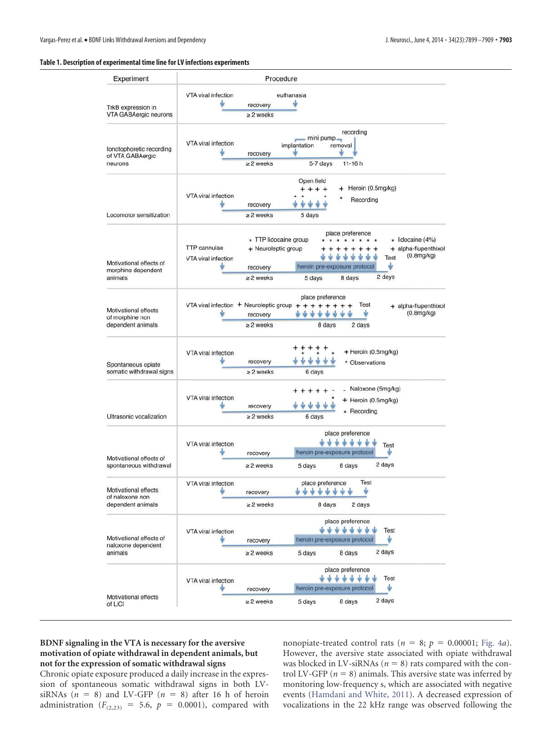## **Table 1. Description of experimental time line for LV infections experiments**

| Experiment                                                   | Procedure                                                                                                                                                                                                                                                                                                                |
|--------------------------------------------------------------|--------------------------------------------------------------------------------------------------------------------------------------------------------------------------------------------------------------------------------------------------------------------------------------------------------------------------|
|                                                              | VTA viral infection<br>euthanasia                                                                                                                                                                                                                                                                                        |
| TrkB expression in<br>VTA GABAergic neurons                  | recovery<br>$\geq$ 2 weeks                                                                                                                                                                                                                                                                                               |
| lonotophoretic recording<br>of VTA GABAergic<br>neurons      | recording<br>mini pump-<br>VTA viral infection<br>implantation<br>removal<br>recovery<br>$\geq$ 2 weeks<br>5-7 days<br>$11 - 16h$                                                                                                                                                                                        |
| Locomotor sensitization                                      | Open field<br>Heroin (0.5mg/kg)<br>$+ + + +$<br>VTA viral infection<br>Recording<br>recovery<br>$\geq$ 2 weeks<br>5 days                                                                                                                                                                                                 |
| Motivational effects of<br>morphine dependent<br>animals     | place preference<br>* TTP lidocaine group<br>* lidocaine (4%)<br>* * *<br>$\star$<br>TTP cannulae<br>+ Neuroleptic group<br>+ alpha-flupenthixol<br>$+ +$<br>(0.8mg/kg)<br>ŵ<br>v<br><b>Test</b><br>VTA viral infection<br>s<br>heroin pre-exposure protocol<br>recovery<br>2 days<br>$\geq$ 2 weeks<br>8 days<br>5 days |
| Motivational effects<br>of morphine non<br>dependent animals | place preference<br>VTA viral infection $+$ Neuroleptic group $+$<br>Test<br>$^{+}$<br>$+ + +$<br>$^{+}$<br>$+ +$<br>+ alpha-flupenthixol<br>$(0.8$ mg/kg $)$<br>÷<br><b>M</b> N<br>recovery<br>$\geq$ 2 weeks<br>8 days<br>2 days                                                                                       |
| Spontaneous opiate<br>somatic withdrawal signs               | + Heroin (0.5mg/kg)<br>VTA viral infection<br>recovery<br>* Observations<br>$\geq$ 2 weeks<br>6 days                                                                                                                                                                                                                     |
| Ultrasonic vocalization                                      | Naloxone (5mg/kg)<br>VTA viral infection<br>+ Heroin (0.5mg/kg)<br>recovery<br>* Recording<br>$\geq$ 2 weeks<br>6 days                                                                                                                                                                                                   |
| Motivational effects of<br>spontaneous withdrawal            | place preference<br>VTA viral infection<br>Test<br>heroin pre-exposure protocol<br>recovery<br>2 days<br>$\geq$ 2 weeks<br>5 days<br>8 days                                                                                                                                                                              |
| Motivational effects<br>of naloxone non<br>dependent animals | Test<br>place preference<br>VTA viral infection<br>J<br>********<br><b>M</b><br>recovery<br>$\geq$ 2 weeks<br>8 days<br>2 days                                                                                                                                                                                           |
| Motivational effects of<br>naloxone dependent<br>animals     | place preference<br><b>++++++++</b><br>Test<br>VTA viral infection<br>Ý<br>heroin pre-exposure protocol<br>recovery<br>2 days<br>8 days<br>$\geq$ 2 weeks<br>5 days                                                                                                                                                      |
| Motivational effects<br>of LiCl                              | place preference<br>*******<br>Test<br>VTA viral infection<br>ψ<br>heroin pre-exposure protocol<br>recovery<br>2 days<br>$\geq$ 2 weeks<br>8 days<br>5 days                                                                                                                                                              |

# **BDNF signaling in the VTA is necessary for the aversive motivation of opiate withdrawal in dependent animals, but not for the expression of somatic withdrawal signs**

Chronic opiate exposure produced a daily increase in the expression of spontaneous somatic withdrawal signs in both LVsiRNAs  $(n = 8)$  and LV-GFP  $(n = 8)$  after 16 h of heroin administration ( $F_{(2,23)} = 5.6$ ,  $p = 0.0001$ ), compared with nonopiate-treated control rats ( $n = 8$ ;  $p = 0.00001$ ; Fig. 4*a*). However, the aversive state associated with opiate withdrawal was blocked in LV-siRNAs ( $n = 8$ ) rats compared with the control LV-GFP ( $n = 8$ ) animals. This aversive state was inferred by monitoring low-frequency s, which are associated with negative events (Hamdani and White, 2011). A decreased expression of vocalizations in the 22 kHz range was observed following the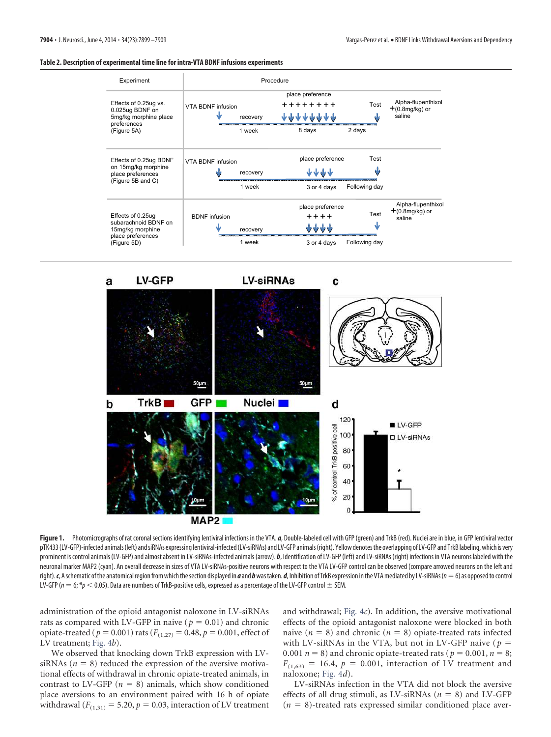#### **Table 2. Description of experimental time line for intra-VTA BDNF infusions experiments**



**LV-GFP LV-siRNAs** C a 50µm GFP<sub>I</sub> Nuclei **N** TrkB<sub>I</sub> d b 120 LV-GFP Tell 100 control TrkB positive **ILV-siRNAs** 80 60 40 đ 20  $MAP2$ 

Figure 1. Photomicrographs of rat coronal sections identifying lentiviral infections in the VTA. *a*, Double-labeled cell with GFP (green) and TrkB (red). Nuclei are in blue, in GFP lentiviral vector pTK433 (LV-GFP)-infected animals (left) and siRNAs expressing lentiviral-infected (LV-siRNAs) and LV-GFP animals (right). Yellow denotes the overlapping of LV-GFP and TrkB labeling, which is very prominent is control animals (LV-GFP) and almost absent in LV-siRNAs-infected animals (arrow). *b*, Identification of LV-GFP (left) and LV-siRNAs (right) infections in VTA neurons labeled with the neuronal marker MAP2 (cyan). An overall decrease in sizes of VTA LV-siRNAs-positive neurons with respect to the VTA LV-GFP control can be observed (compare arrowed neurons on the left and right).  $c$ , A schematic of the anatomical region from which the section displayed in  $a$  and  $b$  was taken.  $d$ , Inhibition of TrkB expression in the VTA mediated by LV-siRNAs ( $n = 6$ ) as opposed to control LV-GFP ( $n=6, *p< 0.05$ ). Data are numbers of TrkB-positive cells, expressed as a percentage of the LV-GFP control  $\pm$  SEM.

administration of the opioid antagonist naloxone in LV-siRNAs rats as compared with LV-GFP in naive ( $p = 0.01$ ) and chronic opiate-treated ( $p = 0.001$ ) rats ( $F_{(1,27)} = 0.48$ ,  $p = 0.001$ , effect of LV treatment; Fig. 4*b*).

We observed that knocking down TrkB expression with LVsiRNAs ( $n = 8$ ) reduced the expression of the aversive motivational effects of withdrawal in chronic opiate-treated animals, in contrast to LV-GFP ( $n = 8$ ) animals, which show conditioned place aversions to an environment paired with 16 h of opiate withdrawal  $(F_{(1,31)} = 5.20, p = 0.03$ , interaction of LV treatment and withdrawal; Fig. 4*c*). In addition, the aversive motivational effects of the opioid antagonist naloxone were blocked in both naive  $(n = 8)$  and chronic  $(n = 8)$  opiate-treated rats infected with LV-siRNAs in the VTA, but not in LV-GFP naive ( $p =$ 0.001  $n = 8$ ) and chronic opiate-treated rats ( $p = 0.001$ ,  $n = 8$ ;  $F_{(1,63)} = 16.4$ ,  $p = 0.001$ , interaction of LV treatment and naloxone; Fig. 4*d*).

LV-siRNAs infection in the VTA did not block the aversive effects of all drug stimuli, as LV-siRNAs  $(n = 8)$  and LV-GFP  $(n = 8)$ -treated rats expressed similar conditioned place aver-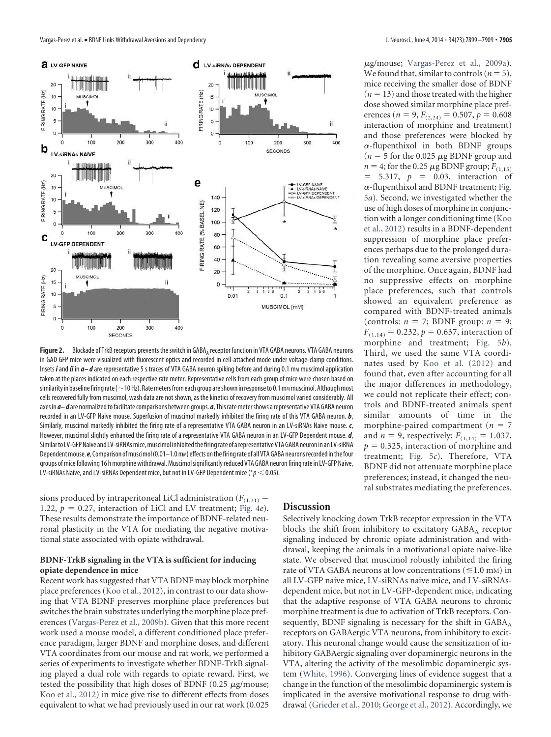

**Figure 2.** Blockade of TrkB receptors prevents the switch in GABA<sub>A</sub> receptor function in VTA GABA neurons. VTA GABA neurons in GAD GFP mice were visualized with fluorescent optics and recorded in cell-attached mode under voltage-clamp conditions. Insets *i* and *ii* in  $a-d$  are representative 5 s traces of VTA GABA neuron spiking before and during 0.1 mm muscimol application taken at the places indicated on each respective rate meter. Representative cells from each group of mice were chosen based on similarity in baseline firing rate ( $\sim$  10 Hz). Rate meters from each group are shown in response to 0.1 mm muscimol. Although most cells recovered fully from muscimol, wash data are not shown, as the kinetics of recovery from muscimol varied considerably. All axes in *a– d* are normalized to facilitate comparisons between groups. *a*, This rate meter shows a representative VTA GABA neuron recorded in an LV-GFP Naive mouse. Superfusion of muscimol markedly inhibited the firing rate of this VTA GABA neuron. *b*, Similarly, muscimol markedly inhibited the firing rate of a representative VTA GABA neuron in an LV-siRNAs Naive mouse. *c*, However, muscimol slightly enhanced the firing rate of a representative VTA GABA neuron in an LV-GFP Dependent mouse. *d*, Similar to LV-GFP Naive and LV-siRNAs mice, muscimol inhibited the firing rate of a representative VTA GABA neuron in an LV-siRNA Dependent mouse. *e*, Comparison of muscimol (0.01–1.0 m<sub>M</sub>) effects on the firing rate of all VTA GABA neurons recorded in the four groups of mice following 16 h morphine withdrawal. Muscimol significantly reduced VTA GABA neuron firing rate in LV-GFP Naive, LV-siRNAs Naive, and LV-siRNAs Dependent mice, but not in LV-GFP Dependent mice (\* $p$   $<$  0.05).

sions produced by intraperitoneal LiCl administration ( $F_{(1,31)}$  = 1.22,  $p = 0.27$ , interaction of LiCl and LV treatment; Fig. 4*e*). These results demonstrate the importance of BDNF-related neuronal plasticity in the VTA for mediating the negative motivational state associated with opiate withdrawal.

# **BDNF-TrkB signaling in the VTA is sufficient for inducing opiate dependence in mice**

Recent work has suggested that VTA BDNF may block morphine place preferences (Koo et al., 2012), in contrast to our data showing that VTA BDNF preserves morphine place preferences but switches the brain substrates underlying the morphine place preferences (Vargas-Perez et al., 2009b). Given that this more recent work used a mouse model, a different conditioned place preference paradigm, larger BDNF and morphine doses, and different VTA coordinates from our mouse and rat work, we performed a series of experiments to investigate whether BDNF-TrkB signaling played a dual role with regards to opiate reward. First, we tested the possibility that high doses of BDNF  $(0.25 \ \mu g/mouse;$ Koo et al., 2012) in mice give rise to different effects from doses equivalent to what we had previously used in our rat work (0.025

## **Discussion**

Selectively knocking down TrkB receptor expression in the VTA blocks the shift from inhibitory to excitatory  $\mathsf{GABA}_\mathsf{A}\xspace$  receptor signaling induced by chronic opiate administration and withdrawal, keeping the animals in a motivational opiate naive-like state. We observed that muscimol robustly inhibited the firing rate of VTA GABA neurons at low concentrations  $(\leq 1.0 \text{ mm})$  in all LV-GFP naive mice, LV-siRNAs naive mice, and LV-siRNAsdependent mice, but not in LV-GFP-dependent mice, indicating that the adaptive response of VTA GABA neurons to chronic morphine treatment is due to activation of TrkB receptors. Consequently, BDNF signaling is necessary for the shift in  $GABA_A$ receptors on GABAergic VTA neurons, from inhibitory to excitatory. This neuronal change would cause the sensitization of inhibitory GABAergic signaling over dopaminergic neurons in the VTA, altering the activity of the mesolimbic dopaminergic system (White, 1996). Converging lines of evidence suggest that a change in the function of the mesolimbic dopaminergic system is implicated in the aversive motivational response to drug withdrawal (Grieder et al., 2010; George et al., 2012). Accordingly, we

-g/mouse; Vargas-Perez et al., 2009a). We found that, similar to controls ( $n = 5$ ), mice receiving the smaller dose of BDNF  $(n = 13)$  and those treated with the higher dose showed similar morphine place preferences (*n* = 9,  $F_{(2,24)} = 0.507$ ,  $p = 0.608$ interaction of morphine and treatment) and those preferences were blocked by  $\alpha$ -flupenthixol in both BDNF groups  $(n = 5$  for the 0.025  $\mu$ g BDNF group and  $n = 4$ ; for the 0.25  $\mu$ g BDNF group;  $F_{(1,15)}$  $= 5.317, p = 0.03,$  interaction of  $\alpha$ -flupenthixol and BDNF treatment; Fig. 5*a*). Second, we investigated whether the use of high doses of morphine in conjunction with a longer conditioning time (Koo et al., 2012) results in a BDNF-dependent suppression of morphine place preferences perhaps due to the prolonged duration revealing some aversive properties of the morphine. Once again, BDNF had no suppressive effects on morphine place preferences, such that controls showed an equivalent preference as compared with BDNF-treated animals (controls:  $n = 7$ ; BDNF group:  $n = 9$ ;  $F_{(1,14)} = 0.232$ ,  $p = 0.637$ , interaction of morphine and treatment; Fig. 5*b*). Third, we used the same VTA coordinates used by Koo et al. (2012) and found that, even after accounting for all the major differences in methodology, we could not replicate their effect; controls and BDNF-treated animals spent similar amounts of time in the morphine-paired compartment ( $n = 7$ and *n* = 9, respectively;  $F_{(1,14)} = 1.037$ ,  $p = 0.325$ , interaction of morphine and treatment; Fig. 5*c*). Therefore, VTA BDNF did not attenuate morphine place preferences; instead, it changed the neural substrates mediating the preferences.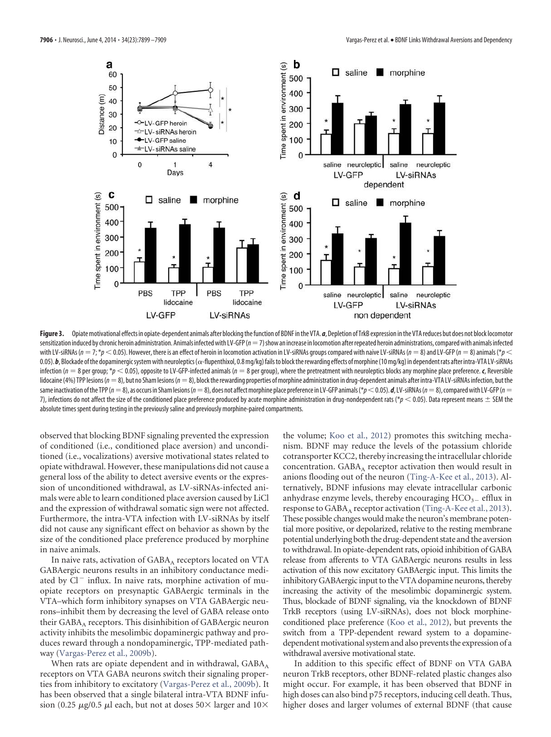

Figure 3. Opiate motivational effects in opiate-dependent animals after blocking the function of BDNF in the VTA. *a*, Depletion of TrkB expression in the VTA reduces but does not block locomotor sensitization induced by chronic heroin administration. Animals infected with LV-GFP ( $n=7$ ) show an increase in locomotion after repeated heroin administrations, compared with animals infected with LV-siRNAs (n = 7; \*p  $<$  0.05). However, there is an effect of heroin in locomotion activation in LV-siRNAs groups compared with naive LV-siRNAs (n = 8) and LV-GFP (n = 8) animals (\*p  $<$ 0.05).  $b$ , Blockade of the dopaminergic system with neuroleptics ( $\alpha$ -flupenthixol, 0.8 mg/kg) fails to block the rewarding effects of morphine (10 mg/kg) in dependent rats after intra-VTA LV-siRNAs infection ( $n = 8$  per group; \* $p < 0.05$ ), opposite to LV-GFP-infected animals ( $n = 8$  per group), where the pretreatment with neuroleptics blocks any morphine place preference. *c*, Reversible lidocaine (4%) TPP lesions ( $n = 8$ ), but no Sham lesions ( $n = 8$ ), block the rewarding properties of morphine administration in drug-dependent animals after intra-VTA LV-siRNAs infection, but the same inactivation of the TPP ( $n=8$ ), as occurs in Sham lesions ( $n=8$ ), does not affect morphine place preference in LV-GFP animals (\* $p$   $<$  0.05). *d*, LV-siRNAs ( $n=8$ ), compared with LV-GFP ( $n=$ 7), infections do not affect the size of the conditioned place preference produced by acute morphine administration in drug-nondependent rats (\* $p$   $<$  0.05). Data represent means  $\pm$  SEM the absolute times spent during testing in the previously saline and previously morphine-paired compartments.

observed that blocking BDNF signaling prevented the expression of conditioned (i.e., conditioned place aversion) and unconditioned (i.e., vocalizations) aversive motivational states related to opiate withdrawal. However, these manipulations did not cause a general loss of the ability to detect aversive events or the expression of unconditioned withdrawal, as LV-siRNAs-infected animals were able to learn conditioned place aversion caused by LiCl and the expression of withdrawal somatic sign were not affected. Furthermore, the intra-VTA infection with LV-siRNAs by itself did not cause any significant effect on behavior as shown by the size of the conditioned place preference produced by morphine in naive animals.

In naive rats, activation of  $\mathsf{GABA}_\mathsf{A}$  receptors located on VTA GABAergic neurons results in an inhibitory conductance mediated by Cl<sup>-</sup> influx. In naive rats, morphine activation of muopiate receptors on presynaptic GABAergic terminals in the VTA–which form inhibitory synapses on VTA GABAergic neurons–inhibit them by decreasing the level of GABA release onto their  $\mathsf{GABA}_\mathtt{A}$  receptors. This disinhibition of  $\mathsf{GABA}$ ergic neuron activity inhibits the mesolimbic dopaminergic pathway and produces reward through a nondopaminergic, TPP-mediated pathway (Vargas-Perez et al., 2009b).

When rats are opiate dependent and in withdrawal, GABA<sub>A</sub> receptors on VTA GABA neurons switch their signaling properties from inhibitory to excitatory (Vargas-Perez et al., 2009b). It has been observed that a single bilateral intra-VTA BDNF infusion (0.25  $\mu$ g/0.5  $\mu$ l each, but not at doses 50× larger and 10×

the volume; Koo et al., 2012) promotes this switching mechanism. BDNF may reduce the levels of the potassium chloride cotransporter KCC2, thereby increasing the intracellular chloride concentration. GABA<sub>A</sub> receptor activation then would result in anions flooding out of the neuron (Ting-A-Kee et al., 2013). Alternatively, BDNF infusions may elevate intracellular carbonic anhydrase enzyme levels, thereby encouraging  $HCO<sub>3-</sub>$  efflux in response to  $\text{GABA}_\text{A}$  receptor activation (Ting-A-Kee et al., 2013). These possible changes would make the neuron's membrane potential more positive, or depolarized, relative to the resting membrane potential underlying both the drug-dependent state and the aversion to withdrawal. In opiate-dependent rats, opioid inhibition of GABA release from afferents to VTA GABAergic neurons results in less activation of this now excitatory GABAergic input. This limits the inhibitory GABAergic input to the VTA dopamine neurons, thereby increasing the activity of the mesolimbic dopaminergic system. Thus, blockade of BDNF signaling, via the knockdown of BDNF TrkB receptors (using LV-siRNAs), does not block morphineconditioned place preference (Koo et al., 2012), but prevents the switch from a TPP-dependent reward system to a dopaminedependent motivational system and also prevents the expression of a withdrawal aversive motivational state.

In addition to this specific effect of BDNF on VTA GABA neuron TrkB receptors, other BDNF-related plastic changes also might occur. For example, it has been observed that BDNF in high doses can also bind p75 receptors, inducing cell death. Thus, higher doses and larger volumes of external BDNF (that cause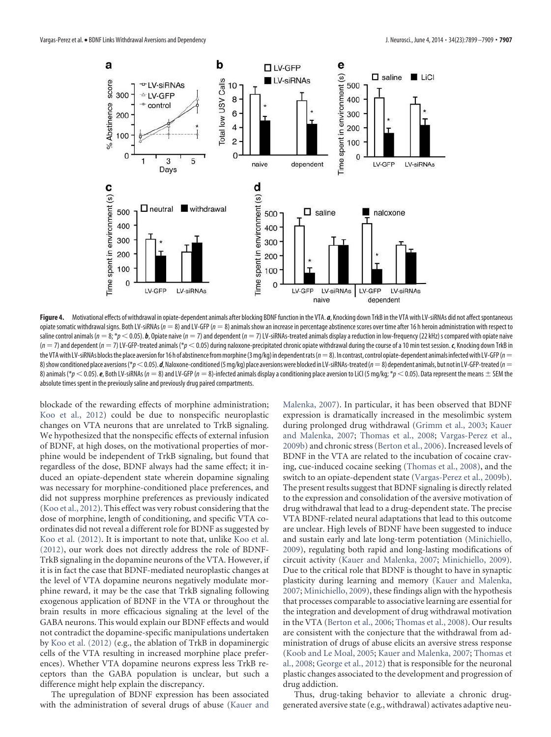

Figure 4. Motivational effects of withdrawal in opiate-dependent animals after blocking BDNF function in the VTA. *a*, Knocking down TrkB in the VTA with LV-siRNAs did not affect spontaneous opiate somatic withdrawal signs. Both LV-siRNAs ( $n = 8$ ) and LV-GFP ( $n = 8$ ) animals show an increase in percentage abstinence scores over time after 16 h heroin administration with respect to saline control animals ( $n=8$ ; \* $\rho$   $<$  0.05).  $\bm{b}$ , Opiate naive ( $n=7$ ) and dependent ( $n=7$ ) LV-siRNAs-treated animals display a reduction in low-frequency (22 kHz) s compared with opiate naive  $(n = 7)$  and dependent  $(n = 7)$  LV-GFP-treated animals (\* $p < 0.05$ ) during naloxone-precipitated chronic opiate withdrawal during the course of a 10 min test session. *c*, Knocking down TrkB in the VTA with LV-siRNAs blocks the place aversion for 16 h of abstinence from morphine (3 mg/kg) in dependent rats ( $n=8$ ). In contrast, control opiate-dependent animals infected with LV-GFP ( $n=1$ 8) show conditioned place aversions (\* $p < 0.05$ ). **d**, Naloxone-conditioned (5 mg/kg) place aversions were blocked in LV-siRNAs-treated (n  $=$  8) dependent animals, but not in LV-GFP-treated (n  $=$ 8) animals (\* $p$   $<$  0.05).  $\bm{e}$ , Both LV-siRNAs ( $n=8$ ) and LV-GFP ( $n=8$ )-infected animals display a conditioning place aversion to LiCl (5 mg/kg; \* $\overline{p}$   $<$  0.05). Data represent the means  $\pm$  SEM the absolute times spent in the previously saline and previously drug paired compartments.

blockade of the rewarding effects of morphine administration; Koo et al., 2012) could be due to nonspecific neuroplastic changes on VTA neurons that are unrelated to TrkB signaling. We hypothesized that the nonspecific effects of external infusion of BDNF, at high doses, on the motivational properties of morphine would be independent of TrkB signaling, but found that regardless of the dose, BDNF always had the same effect; it induced an opiate-dependent state wherein dopamine signaling was necessary for morphine-conditioned place preferences, and did not suppress morphine preferences as previously indicated (Koo et al., 2012). This effect was very robust considering that the dose of morphine, length of conditioning, and specific VTA coordinates did not reveal a different role for BDNF as suggested by Koo et al. (2012). It is important to note that, unlike Koo et al. (2012), our work does not directly address the role of BDNF-TrkB signaling in the dopamine neurons of the VTA. However, if it is in fact the case that BDNF-mediated neuroplastic changes at the level of VTA dopamine neurons negatively modulate morphine reward, it may be the case that TrkB signaling following exogenous application of BDNF in the VTA or throughout the brain results in more efficacious signaling at the level of the GABA neurons. This would explain our BDNF effects and would not contradict the dopamine-specific manipulations undertaken by Koo et al. (2012) (e.g., the ablation of TrkB in dopaminergic cells of the VTA resulting in increased morphine place preferences). Whether VTA dopamine neurons express less TrkB receptors than the GABA population is unclear, but such a difference might help explain the discrepancy.

The upregulation of BDNF expression has been associated with the administration of several drugs of abuse (Kauer and Malenka, 2007). In particular, it has been observed that BDNF expression is dramatically increased in the mesolimbic system during prolonged drug withdrawal (Grimm et al., 2003; Kauer and Malenka, 2007; Thomas et al., 2008; Vargas-Perez et al., 2009b) and chronic stress (Berton et al., 2006). Increased levels of BDNF in the VTA are related to the incubation of cocaine craving, cue-induced cocaine seeking (Thomas et al., 2008), and the switch to an opiate-dependent state (Vargas-Perez et al., 2009b). The present results suggest that BDNF signaling is directly related to the expression and consolidation of the aversive motivation of drug withdrawal that lead to a drug-dependent state. The precise VTA BDNF-related neural adaptations that lead to this outcome are unclear. High levels of BDNF have been suggested to induce and sustain early and late long-term potentiation (Minichiello, 2009), regulating both rapid and long-lasting modifications of circuit activity (Kauer and Malenka, 2007; Minichiello, 2009). Due to the critical role that BDNF is thought to have in synaptic plasticity during learning and memory (Kauer and Malenka, 2007; Minichiello, 2009), these findings align with the hypothesis that processes comparable to associative learning are essential for the integration and development of drug withdrawal motivation in the VTA (Berton et al., 2006; Thomas et al., 2008). Our results are consistent with the conjecture that the withdrawal from administration of drugs of abuse elicits an aversive stress response (Koob and Le Moal, 2005; Kauer and Malenka, 2007; Thomas et al., 2008; George et al., 2012) that is responsible for the neuronal plastic changes associated to the development and progression of drug addiction.

Thus, drug-taking behavior to alleviate a chronic druggenerated aversive state (e.g., withdrawal) activates adaptive neu-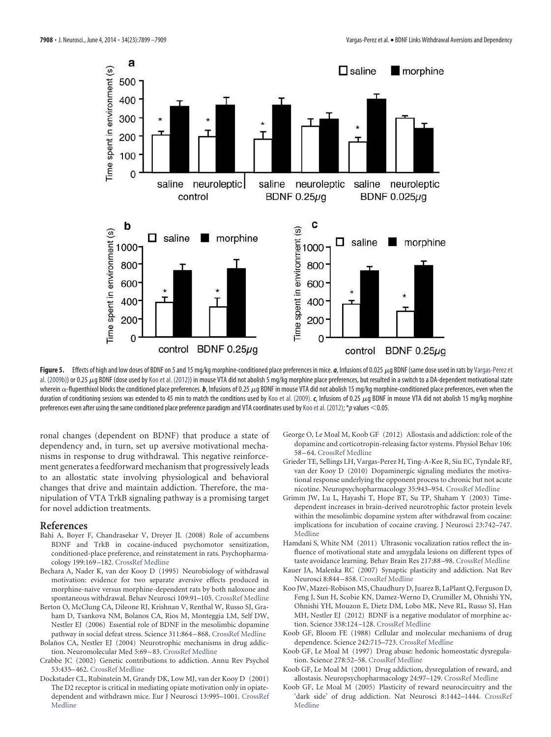

Figure 5. Effects of high and low doses of BDNF on 5 and 15 mg/kg morphine-conditioned place preferences in mice. *a*, Infusions of 0.025  $\mu$ g BDNF (same dose used in rats by Vargas-Perez et al. (2009b)) or 0.25  $\mu$ g BDNF (dose used by Koo et al. (2012)) in mouse VTA did not abolish 5 mg/kg morphine place preferences, but resulted in a switch to a DA-dependent motivational state wherein  $\alpha$ -flupenthixol blocks the conditioned place preferences. *b*, Infusions of 0.25  $\mu$ g BDNF in mouse VTA did not abolish 15 mg/kg morphine-conditioned place preferences, even when the duration of conditioning sessions was extended to 45 min to match the conditions used by Koo et al. (2009). *c*, Infusions of 0.25  $\mu$ g BDNF in mouse VTA did not abolish 15 mg/kg morphine preferences even after using the same conditioned place preference paradigm and VTA coordinates used by Koo et al. (2012); \*p values  $<$  0.05.

ronal changes (dependent on BDNF) that produce a state of dependency and, in turn, set up aversive motivational mechanisms in response to drug withdrawal. This negative reinforcement generates a feedforward mechanism that progressively leads to an allostatic state involving physiological and behavioral changes that drive and maintain addiction. Therefore, the manipulation of VTA TrkB signaling pathway is a promising target for novel addiction treatments.

#### **References**

- Bahi A, Boyer F, Chandrasekar V, Dreyer JL (2008) Role of accumbens BDNF and TrkB in cocaine-induced psychomotor sensitization, conditioned-place preference, and reinstatement in rats. Psychopharmacology 199:169 –182. CrossRef Medline
- Bechara A, Nader K, van der Kooy D (1995) Neurobiology of withdrawal motivation: evidence for two separate aversive effects produced in morphine-naive versus morphine-dependent rats by both naloxone and spontaneous withdrawal. Behav Neurosci 109:91–105. CrossRef Medline
- Berton O, McClung CA, Dileone RJ, Krishnan V, Renthal W, Russo SJ, Graham D, Tsankova NM, Bolanos CA, Rios M, Monteggia LM, Self DW, Nestler EJ (2006) Essential role of BDNF in the mesolimbic dopamine pathway in social defeat stress. Science 311:864 – 868. CrossRef Medline
- Bolaños CA, Nestler EJ (2004) Neurotrophic mechanisms in drug addiction. Neuromolecular Med 5:69 – 83. CrossRef Medline
- Crabbe JC (2002) Genetic contributions to addiction. Annu Rev Psychol 53:435– 462. CrossRef Medline
- Dockstader CL, Rubinstein M, Grandy DK, Low MJ, van der Kooy D (2001) The D2 receptor is critical in mediating opiate motivation only in opiatedependent and withdrawn mice. Eur J Neurosci 13:995–1001. CrossRef Medline
- George O, Le Moal M, Koob GF (2012) Allostasis and addiction: role of the dopamine and corticotropin-releasing factor systems. Physiol Behav 106: 58 – 64. CrossRef Medline
- Grieder TE, Sellings LH, Vargas-Perez H, Ting-A-Kee R, Siu EC, Tyndale RF, van der Kooy D (2010) Dopaminergic signaling mediates the motivational response underlying the opponent process to chronic but not acute nicotine. Neuropsychopharmacology 35:943–954. CrossRef Medline
- Grimm JW, Lu L, Hayashi T, Hope BT, Su TP, Shaham Y (2003) Timedependent increases in brain-derived neurotrophic factor protein levels within the mesolimbic dopamine system after withdrawal from cocaine: implications for incubation of cocaine craving. J Neurosci 23:742–747. Medline
- Hamdani S, White NM (2011) Ultrasonic vocalization ratios reflect the influence of motivational state and amygdala lesions on different types of taste avoidance learning. Behav Brain Res 217:88 –98. CrossRef Medline
- Kauer JA, Malenka RC (2007) Synaptic plasticity and addiction. Nat Rev Neurosci 8:844 – 858. CrossRef Medline
- Koo JW, Mazei-Robison MS, Chaudhury D, Juarez B, LaPlant Q, Ferguson D, Feng J, Sun H, Scobie KN, Damez-Werno D, Crumiller M, Ohnishi YN, Ohnishi YH, Mouzon E, Dietz DM, Lobo MK, Neve RL, Russo SJ, Han MH, Nestler EJ (2012) BDNF is a negative modulator of morphine action. Science 338:124 –128. CrossRef Medline
- Koob GF, Bloom FE (1988) Cellular and molecular mechanisms of drug dependence. Science 242:715–723. CrossRef Medline
- Koob GF, Le Moal M (1997) Drug abuse: hedonic homeostatic dysregulation. Science 278:52–58. CrossRef Medline
- Koob GF, Le Moal M (2001) Drug addiction, dysregulation of reward, and allostasis. Neuropsychopharmacology 24:97–129. CrossRef Medline
- Koob GF, Le Moal M (2005) Plasticity of reward neurocircuitry and the 'dark side' of drug addiction. Nat Neurosci 8:1442–1444. CrossRef Medline